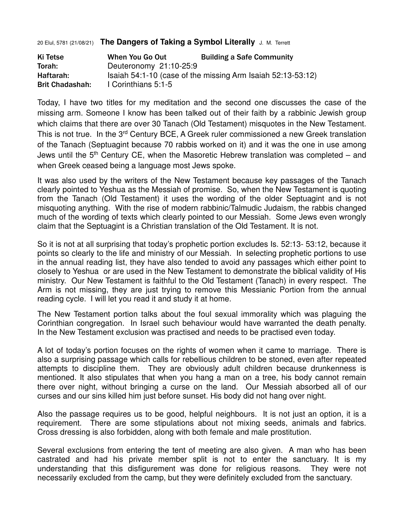20 Elul, 5781 (21/08/21) **The Dangers of Taking a Symbol Literally** J. M. Terrett

| Ki Tetse               | When You Go Out        | <b>Building a Safe Community</b>                            |
|------------------------|------------------------|-------------------------------------------------------------|
| Torah:                 | Deuteronomy 21:10-25:9 |                                                             |
| Haftarah:              |                        | Isaiah 54:1-10 (case of the missing Arm Isaiah 52:13-53:12) |
| <b>Brit Chadashah:</b> | I Corinthians 5:1-5    |                                                             |

Today, I have two titles for my meditation and the second one discusses the case of the missing arm. Someone I know has been talked out of their faith by a rabbinic Jewish group which claims that there are over 30 Tanach (Old Testament) misquotes in the New Testament. This is not true. In the 3<sup>rd</sup> Century BCE, A Greek ruler commissioned a new Greek translation of the Tanach (Septuagint because 70 rabbis worked on it) and it was the one in use among Jews until the  $5<sup>th</sup>$  Century CE, when the Masoretic Hebrew translation was completed – and when Greek ceased being a language most Jews spoke.

It was also used by the writers of the New Testament because key passages of the Tanach clearly pointed to Yeshua as the Messiah of promise. So, when the New Testament is quoting from the Tanach (Old Testament) it uses the wording of the older Septuagint and is not misquoting anything. With the rise of modern rabbinic/Talmudic Judaism, the rabbis changed much of the wording of texts which clearly pointed to our Messiah. Some Jews even wrongly claim that the Septuagint is a Christian translation of the Old Testament. It is not.

So it is not at all surprising that today's prophetic portion excludes Is. 52:13- 53:12, because it points so clearly to the life and ministry of our Messiah. In selecting prophetic portions to use in the annual reading list, they have also tended to avoid any passages which either point to closely to Yeshua or are used in the New Testament to demonstrate the biblical validity of His ministry. Our New Testament is faithful to the Old Testament (Tanach) in every respect. The Arm is not missing, they are just trying to remove this Messianic Portion from the annual reading cycle. I will let you read it and study it at home.

The New Testament portion talks about the foul sexual immorality which was plaguing the Corinthian congregation. In Israel such behaviour would have warranted the death penalty. In the New Testament exclusion was practised and needs to be practised even today.

A lot of today's portion focuses on the rights of women when it came to marriage. There is also a surprising passage which calls for rebellious children to be stoned, even after repeated attempts to discipline them. They are obviously adult children because drunkenness is mentioned. It also stipulates that when you hang a man on a tree, his body cannot remain there over night, without bringing a curse on the land. Our Messiah absorbed all of our curses and our sins killed him just before sunset. His body did not hang over night.

Also the passage requires us to be good, helpful neighbours. It is not just an option, it is a requirement. There are some stipulations about not mixing seeds, animals and fabrics. Cross dressing is also forbidden, along with both female and male prostitution.

Several exclusions from entering the tent of meeting are also given. A man who has been castrated and had his private member split is not to enter the sanctuary. It is my understanding that this disfigurement was done for religious reasons. They were not necessarily excluded from the camp, but they were definitely excluded from the sanctuary.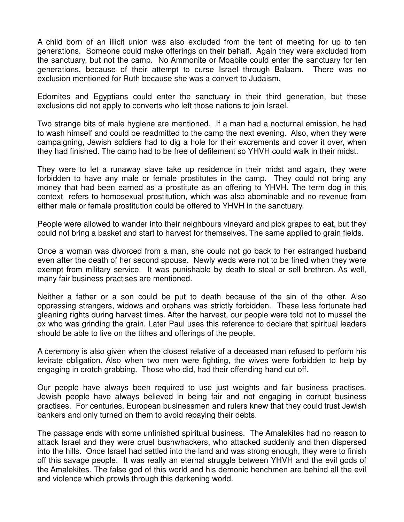A child born of an illicit union was also excluded from the tent of meeting for up to ten generations. Someone could make offerings on their behalf. Again they were excluded from the sanctuary, but not the camp. No Ammonite or Moabite could enter the sanctuary for ten generations, because of their attempt to curse Israel through Balaam. There was no exclusion mentioned for Ruth because she was a convert to Judaism.

Edomites and Egyptians could enter the sanctuary in their third generation, but these exclusions did not apply to converts who left those nations to join Israel.

Two strange bits of male hygiene are mentioned. If a man had a nocturnal emission, he had to wash himself and could be readmitted to the camp the next evening. Also, when they were campaigning, Jewish soldiers had to dig a hole for their excrements and cover it over, when they had finished. The camp had to be free of defilement so YHVH could walk in their midst.

They were to let a runaway slave take up residence in their midst and again, they were forbidden to have any male or female prostitutes in the camp. They could not bring any money that had been earned as a prostitute as an offering to YHVH. The term dog in this context refers to homosexual prostitution, which was also abominable and no revenue from either male or female prostitution could be offered to YHVH in the sanctuary.

People were allowed to wander into their neighbours vineyard and pick grapes to eat, but they could not bring a basket and start to harvest for themselves. The same applied to grain fields.

Once a woman was divorced from a man, she could not go back to her estranged husband even after the death of her second spouse. Newly weds were not to be fined when they were exempt from military service. It was punishable by death to steal or sell brethren. As well, many fair business practises are mentioned.

Neither a father or a son could be put to death because of the sin of the other. Also oppressing strangers, widows and orphans was strictly forbidden. These less fortunate had gleaning rights during harvest times. After the harvest, our people were told not to mussel the ox who was grinding the grain. Later Paul uses this reference to declare that spiritual leaders should be able to live on the tithes and offerings of the people.

A ceremony is also given when the closest relative of a deceased man refused to perform his levirate obligation. Also when two men were fighting, the wives were forbidden to help by engaging in crotch grabbing. Those who did, had their offending hand cut off.

Our people have always been required to use just weights and fair business practises. Jewish people have always believed in being fair and not engaging in corrupt business practises. For centuries, European businessmen and rulers knew that they could trust Jewish bankers and only turned on them to avoid repaying their debts.

The passage ends with some unfinished spiritual business. The Amalekites had no reason to attack Israel and they were cruel bushwhackers, who attacked suddenly and then dispersed into the hills. Once Israel had settled into the land and was strong enough, they were to finish off this savage people. It was really an eternal struggle between YHVH and the evil gods of the Amalekites. The false god of this world and his demonic henchmen are behind all the evil and violence which prowls through this darkening world.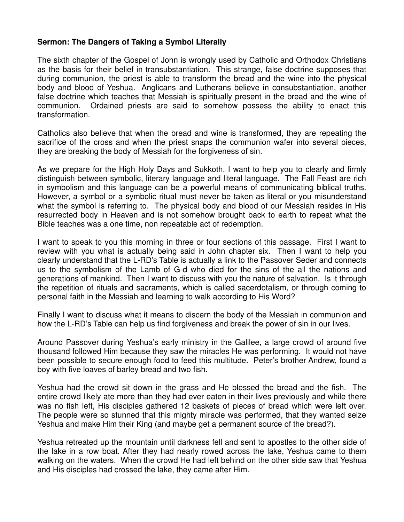## **Sermon: The Dangers of Taking a Symbol Literally**

The sixth chapter of the Gospel of John is wrongly used by Catholic and Orthodox Christians as the basis for their belief in transubstantiation. This strange, false doctrine supposes that during communion, the priest is able to transform the bread and the wine into the physical body and blood of Yeshua. Anglicans and Lutherans believe in consubstantiation, another false doctrine which teaches that Messiah is spiritually present in the bread and the wine of communion. Ordained priests are said to somehow possess the ability to enact this transformation.

Catholics also believe that when the bread and wine is transformed, they are repeating the sacrifice of the cross and when the priest snaps the communion wafer into several pieces, they are breaking the body of Messiah for the forgiveness of sin.

As we prepare for the High Holy Days and Sukkoth, I want to help you to clearly and firmly distinguish between symbolic, literary language and literal language. The Fall Feast are rich in symbolism and this language can be a powerful means of communicating biblical truths. However, a symbol or a symbolic ritual must never be taken as literal or you misunderstand what the symbol is referring to. The physical body and blood of our Messiah resides in His resurrected body in Heaven and is not somehow brought back to earth to repeat what the Bible teaches was a one time, non repeatable act of redemption.

I want to speak to you this morning in three or four sections of this passage. First I want to review with you what is actually being said in John chapter six. Then I want to help you clearly understand that the L-RD's Table is actually a link to the Passover Seder and connects us to the symbolism of the Lamb of G-d who died for the sins of the all the nations and generations of mankind. Then I want to discuss with you the nature of salvation. Is it through the repetition of rituals and sacraments, which is called sacerdotalism, or through coming to personal faith in the Messiah and learning to walk according to His Word?

Finally I want to discuss what it means to discern the body of the Messiah in communion and how the L-RD's Table can help us find forgiveness and break the power of sin in our lives.

Around Passover during Yeshua's early ministry in the Galilee, a large crowd of around five thousand followed Him because they saw the miracles He was performing. It would not have been possible to secure enough food to feed this multitude. Peter's brother Andrew, found a boy with five loaves of barley bread and two fish.

Yeshua had the crowd sit down in the grass and He blessed the bread and the fish. The entire crowd likely ate more than they had ever eaten in their lives previously and while there was no fish left, His disciples gathered 12 baskets of pieces of bread which were left over. The people were so stunned that this mighty miracle was performed, that they wanted seize Yeshua and make Him their King (and maybe get a permanent source of the bread?).

Yeshua retreated up the mountain until darkness fell and sent to apostles to the other side of the lake in a row boat. After they had nearly rowed across the lake, Yeshua came to them walking on the waters. When the crowd He had left behind on the other side saw that Yeshua and His disciples had crossed the lake, they came after Him.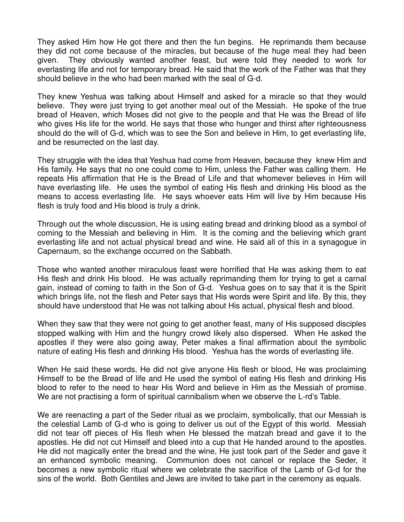They asked Him how He got there and then the fun begins. He reprimands them because they did not come because of the miracles, but because of the huge meal they had been given. They obviously wanted another feast, but were told they needed to work for everlasting life and not for temporary bread. He said that the work of the Father was that they should believe in the who had been marked with the seal of G-d.

They knew Yeshua was talking about Himself and asked for a miracle so that they would believe. They were just trying to get another meal out of the Messiah. He spoke of the true bread of Heaven, which Moses did not give to the people and that He was the Bread of life who gives His life for the world. He says that those who hunger and thirst after righteousness should do the will of G-d, which was to see the Son and believe in Him, to get everlasting life, and be resurrected on the last day.

They struggle with the idea that Yeshua had come from Heaven, because they knew Him and His family. He says that no one could come to Him, unless the Father was calling them. He repeats His affirmation that He is the Bread of Life and that whomever believes in Him will have everlasting life. He uses the symbol of eating His flesh and drinking His blood as the means to access everlasting life. He says whoever eats Him will live by Him because His flesh is truly food and His blood is truly a drink.

Through out the whole discussion, He is using eating bread and drinking blood as a symbol of coming to the Messiah and believing in Him. It is the coming and the believing which grant everlasting life and not actual physical bread and wine. He said all of this in a synagogue in Capernaum, so the exchange occurred on the Sabbath.

Those who wanted another miraculous feast were horrified that He was asking them to eat His flesh and drink His blood. He was actually reprimanding them for trying to get a carnal gain, instead of coming to faith in the Son of G-d. Yeshua goes on to say that it is the Spirit which brings life, not the flesh and Peter says that His words were Spirit and life. By this, they should have understood that He was not talking about His actual, physical flesh and blood.

When they saw that they were not going to get another feast, many of His supposed disciples stopped walking with Him and the hungry crowd likely also dispersed. When He asked the apostles if they were also going away, Peter makes a final affirmation about the symbolic nature of eating His flesh and drinking His blood. Yeshua has the words of everlasting life.

When He said these words, He did not give anyone His flesh or blood, He was proclaiming Himself to be the Bread of life and He used the symbol of eating His flesh and drinking His blood to refer to the need to hear His Word and believe in Him as the Messiah of promise. We are not practising a form of spiritual cannibalism when we observe the L-rd's Table.

We are reenacting a part of the Seder ritual as we proclaim, symbolically, that our Messiah is the celestial Lamb of G-d who is going to deliver us out of the Egypt of this world. Messiah did not tear off pieces of His flesh when He blessed the matzah bread and gave it to the apostles. He did not cut Himself and bleed into a cup that He handed around to the apostles. He did not magically enter the bread and the wine, He just took part of the Seder and gave it an enhanced symbolic meaning. Communion does not cancel or replace the Seder, it becomes a new symbolic ritual where we celebrate the sacrifice of the Lamb of G-d for the sins of the world. Both Gentiles and Jews are invited to take part in the ceremony as equals.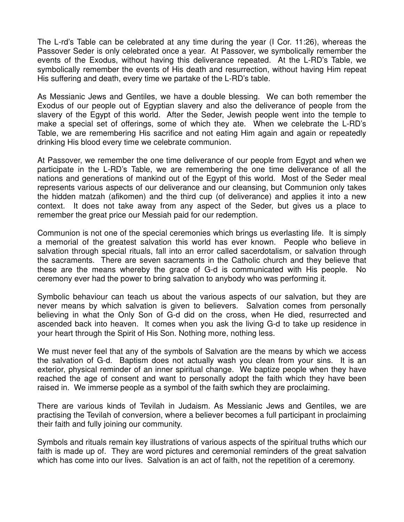The L-rd's Table can be celebrated at any time during the year (I Cor. 11:26), whereas the Passover Seder is only celebrated once a year. At Passover, we symbolically remember the events of the Exodus, without having this deliverance repeated. At the L-RD's Table, we symbolically remember the events of His death and resurrection, without having Him repeat His suffering and death, every time we partake of the L-RD's table.

As Messianic Jews and Gentiles, we have a double blessing. We can both remember the Exodus of our people out of Egyptian slavery and also the deliverance of people from the slavery of the Egypt of this world. After the Seder, Jewish people went into the temple to make a special set of offerings, some of which they ate. When we celebrate the L-RD's Table, we are remembering His sacrifice and not eating Him again and again or repeatedly drinking His blood every time we celebrate communion.

At Passover, we remember the one time deliverance of our people from Egypt and when we participate in the L-RD's Table, we are remembering the one time deliverance of all the nations and generations of mankind out of the Egypt of this world. Most of the Seder meal represents various aspects of our deliverance and our cleansing, but Communion only takes the hidden matzah (afikomen) and the third cup (of deliverance) and applies it into a new context. It does not take away from any aspect of the Seder, but gives us a place to remember the great price our Messiah paid for our redemption.

Communion is not one of the special ceremonies which brings us everlasting life. It is simply a memorial of the greatest salvation this world has ever known. People who believe in salvation through special rituals, fall into an error called sacerdotalism, or salvation through the sacraments. There are seven sacraments in the Catholic church and they believe that these are the means whereby the grace of G-d is communicated with His people. No ceremony ever had the power to bring salvation to anybody who was performing it.

Symbolic behaviour can teach us about the various aspects of our salvation, but they are never means by which salvation is given to believers. Salvation comes from personally believing in what the Only Son of G-d did on the cross, when He died, resurrected and ascended back into heaven. It comes when you ask the living G-d to take up residence in your heart through the Spirit of His Son. Nothing more, nothing less.

We must never feel that any of the symbols of Salvation are the means by which we access the salvation of G-d. Baptism does not actually wash you clean from your sins. It is an exterior, physical reminder of an inner spiritual change. We baptize people when they have reached the age of consent and want to personally adopt the faith which they have been raised in. We immerse people as a symbol of the faith swhich they are proclaiming.

There are various kinds of Tevilah in Judaism. As Messianic Jews and Gentiles, we are practising the Tevilah of conversion, where a believer becomes a full participant in proclaiming their faith and fully joining our community.

Symbols and rituals remain key illustrations of various aspects of the spiritual truths which our faith is made up of. They are word pictures and ceremonial reminders of the great salvation which has come into our lives. Salvation is an act of faith, not the repetition of a ceremony.